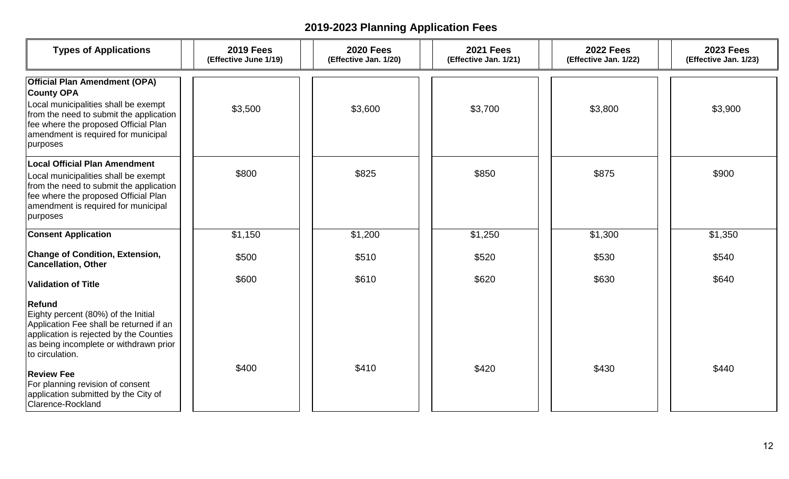| <b>Types of Applications</b>                                                                                                                                                                                                            | <b>2019 Fees</b><br>(Effective June 1/19) | <b>2020 Fees</b><br>(Effective Jan. 1/20) | <b>2021 Fees</b><br>(Effective Jan. 1/21) | <b>2022 Fees</b><br>(Effective Jan. 1/22) | <b>2023 Fees</b><br>(Effective Jan. 1/23) |
|-----------------------------------------------------------------------------------------------------------------------------------------------------------------------------------------------------------------------------------------|-------------------------------------------|-------------------------------------------|-------------------------------------------|-------------------------------------------|-------------------------------------------|
| <b>Official Plan Amendment (OPA)</b><br><b>County OPA</b><br>Local municipalities shall be exempt<br>from the need to submit the application<br>fee where the proposed Official Plan<br>amendment is required for municipal<br>purposes | \$3,500                                   | \$3,600                                   | \$3,700                                   | \$3,800                                   | \$3,900                                   |
| <b>Local Official Plan Amendment</b><br>Local municipalities shall be exempt<br>from the need to submit the application<br>fee where the proposed Official Plan<br>amendment is required for municipal<br>purposes                      | \$800                                     | \$825                                     | \$850                                     | \$875                                     | \$900                                     |
| <b>Consent Application</b>                                                                                                                                                                                                              | \$1,150                                   | \$1,200                                   | \$1,250                                   | \$1,300                                   | \$1,350                                   |
| <b>Change of Condition, Extension,</b><br><b>Cancellation, Other</b>                                                                                                                                                                    | \$500                                     | \$510                                     | \$520                                     | \$530                                     | \$540                                     |
| <b>Validation of Title</b>                                                                                                                                                                                                              | \$600                                     | \$610                                     | \$620                                     | \$630                                     | \$640                                     |
| Refund<br>Eighty percent (80%) of the Initial<br>Application Fee shall be returned if an<br>application is rejected by the Counties<br>as being incomplete or withdrawn prior<br>to circulation.                                        |                                           |                                           |                                           |                                           |                                           |
| <b>Review Fee</b><br>For planning revision of consent<br>application submitted by the City of<br>Clarence-Rockland                                                                                                                      | \$400                                     | \$410                                     | \$420                                     | \$430                                     | \$440                                     |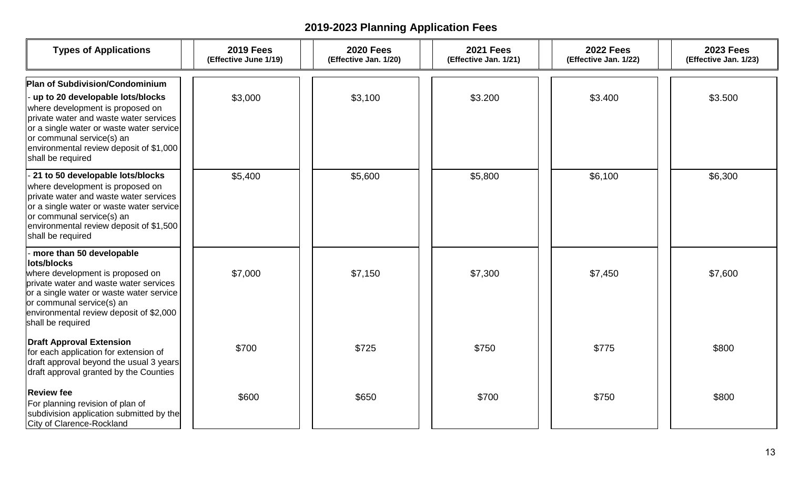| <b>Types of Applications</b>                                                                                                                                                                                                                                                                      | <b>2019 Fees</b><br>(Effective June 1/19) | <b>2020 Fees</b><br>(Effective Jan. 1/20) | <b>2021 Fees</b><br>(Effective Jan. 1/21) | <b>2022 Fees</b><br>(Effective Jan. 1/22) | <b>2023 Fees</b><br>(Effective Jan. 1/23) |
|---------------------------------------------------------------------------------------------------------------------------------------------------------------------------------------------------------------------------------------------------------------------------------------------------|-------------------------------------------|-------------------------------------------|-------------------------------------------|-------------------------------------------|-------------------------------------------|
| <b>Plan of Subdivision/Condominium</b><br>up to 20 developable lots/blocks<br>where development is proposed on<br>private water and waste water services<br>or a single water or waste water service<br>or communal service(s) an<br>environmental review deposit of \$1,000<br>shall be required | \$3,000                                   | \$3,100                                   | \$3.200                                   | \$3.400                                   | \$3.500                                   |
| - 21 to 50 developable lots/blocks<br>where development is proposed on<br>private water and waste water services<br>or a single water or waste water service<br>or communal service(s) an<br>environmental review deposit of \$1,500<br>shall be required                                         | \$5,400                                   | \$5,600                                   | \$5,800                                   | \$6,100                                   | \$6,300                                   |
| - more than 50 developable<br>lots/blocks<br>where development is proposed on<br>private water and waste water services<br>or a single water or waste water service<br>or communal service(s) an<br>environmental review deposit of \$2,000<br>shall be required                                  | \$7,000                                   | \$7,150                                   | \$7,300                                   | \$7,450                                   | \$7,600                                   |
| <b>Draft Approval Extension</b><br>for each application for extension of<br>draft approval beyond the usual 3 years<br>draft approval granted by the Counties                                                                                                                                     | \$700                                     | \$725                                     | \$750                                     | \$775                                     | \$800                                     |
| <b>Review fee</b><br>For planning revision of plan of<br>subdivision application submitted by the<br><b>City of Clarence-Rockland</b>                                                                                                                                                             | \$600                                     | \$650                                     | \$700                                     | \$750                                     | \$800                                     |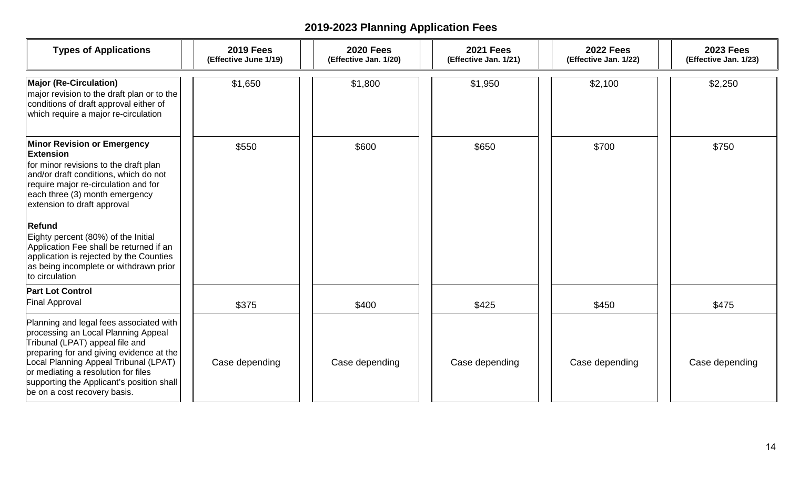| <b>Types of Applications</b>                                                                                                                                                                                                                                                                                                                                                                                                                                | <b>2019 Fees</b><br>(Effective June 1/19) | <b>2020 Fees</b><br>(Effective Jan. 1/20) | <b>2021 Fees</b><br>(Effective Jan. 1/21) | <b>2022 Fees</b><br>(Effective Jan. 1/22) | <b>2023 Fees</b><br>(Effective Jan. 1/23) |
|-------------------------------------------------------------------------------------------------------------------------------------------------------------------------------------------------------------------------------------------------------------------------------------------------------------------------------------------------------------------------------------------------------------------------------------------------------------|-------------------------------------------|-------------------------------------------|-------------------------------------------|-------------------------------------------|-------------------------------------------|
| <b>Major (Re-Circulation)</b><br>major revision to the draft plan or to the<br>conditions of draft approval either of<br>which require a major re-circulation                                                                                                                                                                                                                                                                                               | \$1,650                                   | \$1,800                                   | \$1,950                                   | \$2,100                                   | \$2,250                                   |
| <b>Minor Revision or Emergency</b><br><b>Extension</b><br>for minor revisions to the draft plan<br>and/or draft conditions, which do not<br>require major re-circulation and for<br>each three (3) month emergency<br>extension to draft approval<br><b>Refund</b><br>Eighty percent (80%) of the Initial<br>Application Fee shall be returned if an<br>application is rejected by the Counties<br>as being incomplete or withdrawn prior<br>to circulation | \$550                                     | \$600                                     | \$650                                     | \$700                                     | \$750                                     |
| <b>Part Lot Control</b><br><b>Final Approval</b>                                                                                                                                                                                                                                                                                                                                                                                                            | \$375                                     | \$400                                     | \$425                                     | \$450                                     | \$475                                     |
| Planning and legal fees associated with<br>processing an Local Planning Appeal<br>Tribunal (LPAT) appeal file and<br>preparing for and giving evidence at the<br>Local Planning Appeal Tribunal (LPAT)<br>or mediating a resolution for files<br>supporting the Applicant's position shall<br>be on a cost recovery basis.                                                                                                                                  | Case depending                            | Case depending                            | Case depending                            | Case depending                            | Case depending                            |